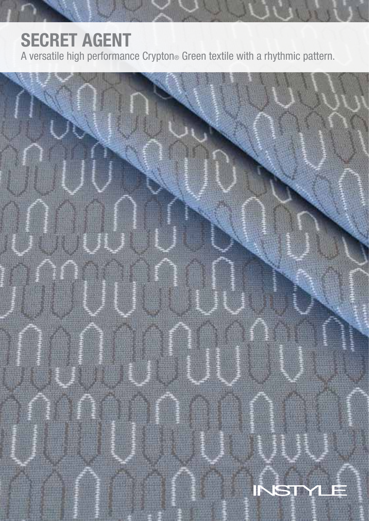# SECRET AGENT

A versatile high performance Crypton® Green textile with a rhythmic pattern.

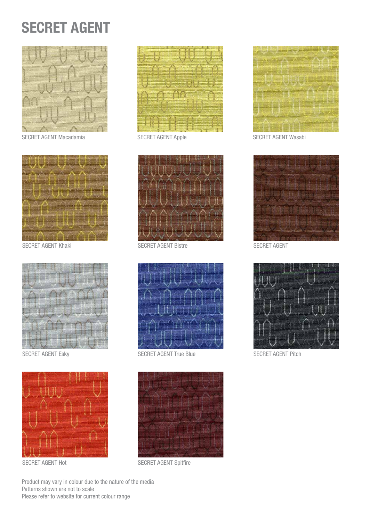# SECRET AGENT



SECRET AGENT Macadamia SECRET AGENT Apple SECRET AGENT Wasabi



SECRET AGENT Khaki SECRET AGENT Bistre SECRET AGENT BISTRE SECRET AGENT











SECRET AGENT Esky SECRET AGENT True Blue SECRET AGENT Pitch



SECRET AGENT Hot SECRET AGENT Spitfire







Product may vary in colour due to the nature of the media Patterns shown are not to scale Please refer to website for current colour range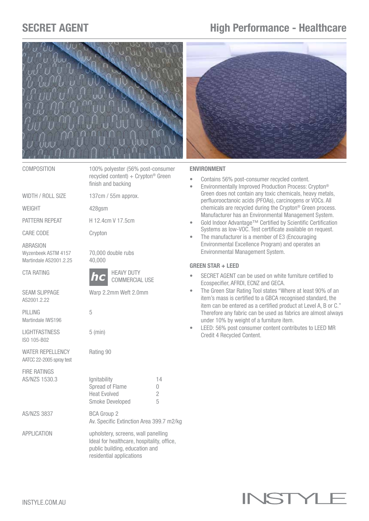## SECRET AGENT **High Performance - Healthcare**



COMPOSITION 100% polyester (56% post-consumer recycled content) + Crypton<sup>®</sup> Green finish and backing

WIDTH / ROLL SIZE 137cm / 55m approx.

WEIGHT 428gsm

PATTERN REPEAT H 12.4cm V 17.5cm

CARE CODE Crypton

**ABRASION** Martindale AS2001.2.25 40,000

AS2001.2.22

PILLING 5 Martindale IWS196

LIGHTFASTNESS 5 (min) ISO 105-B02

WATER REPELLENCY Rating 90 AATCC 22-2005 spray test

FIRE RATINGS



#### ENVIRONMENT

- Contains 56% post-consumer recycled content.
- Environmentally Improved Production Process: Crypton® Green does not contain any toxic chemicals, heavy metals, perfluorooctanoic acids (PFOAs), carcinogens or VOCs. All chemicals are recycled during the Crypton® Green process. Manufacturer has an Environmental Management System.
- Gold Indoor Advantage™ Certified by Scientific Certification Systems as low-VOC. Test certificate available on request.
- The manufacturer is a member of E3 (Encouraging Environmental Excellence Program) and operates an Environmental Management System.

## GREEN STAR + LEED

- SECRET AGENT can be used on white furniture certified to Ecospecifier, AFRDI, ECNZ and GECA.
- The Green Star Rating Tool states "Where at least 90% of an item's mass is certified to a GBCA recognised standard, the item can be entered as a certified product at Level A, B or C." Therefore any fabric can be used as fabrics are almost always under 10% by weight of a furniture item.
- LEED: 56% post consumer content contributes to LEED MR Credit 4 Recycled Content.

# **INSTYL**

Wyzenbeek ASTM 4157 70,000 double rubs CTA RATING **HEAVY DUTY**  COMMERCIAL USE SEAM SLIPPAGE Warp 2.2mm Weft 2.0mm *hc*

AS/NZS 1530.3 **Ignitability** 14 Spread of Flame 0 Heat Evolved 2 Smoke Developed 5 AS/NZS 3837 BCA Group 2

 Av. Specific Extinction Area 399.7 m2/kg

APPLICATION upholstery, screens, wall panelling Ideal for healthcare, hospitality, office, public building, education and residential applications